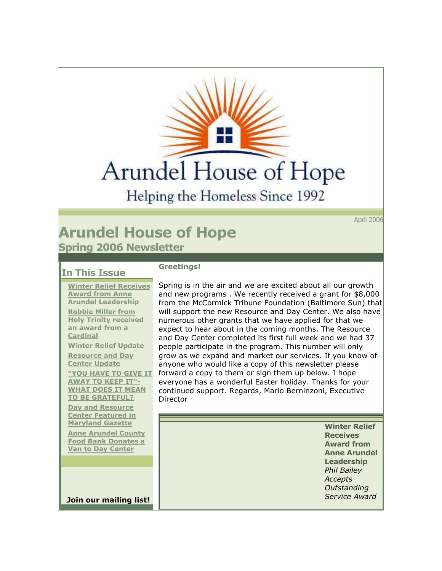**Arundel House of Hope** 

Helping the Homeless Since 1992

April 2006

## **Arundel House of Hope Spring 2006 Newsletter**

## **In This Issue**

**Winter Relief Receives [Award from Anne](https://ui.constantcontact.com/templates/previewer.jsp?agent.uid=1101268009405#article1)  Arundel [Leadership](https://ui.constantcontact.com/templates/previewer.jsp?agent.uid=1101268009405#article1) Robbie Miller from [Holy Trinity received](https://ui.constantcontact.com/templates/previewer.jsp?agent.uid=1101268009405#article2)  [an award from a](https://ui.constantcontact.com/templates/previewer.jsp?agent.uid=1101268009405#article2)  [Cardinal](https://ui.constantcontact.com/templates/previewer.jsp?agent.uid=1101268009405#article2) [Winter Relief Update](https://ui.constantcontact.com/templates/previewer.jsp?agent.uid=1101268009405#article3) Resource and Day [Center Update](https://ui.constantcontact.com/templates/previewer.jsp?agent.uid=1101268009405#article4) YOU HAVE TO GIVE IT [AWAY TO KEEP IT"](https://ui.constantcontact.com/templates/previewer.jsp?agent.uid=1101268009405#article5)- WHAT DOES IT MEAN [TO BE GRATEFUL?](https://ui.constantcontact.com/templates/previewer.jsp?agent.uid=1101268009405#article5) Day and Resource** 

**[Center Featured in](https://ui.constantcontact.com/templates/previewer.jsp?agent.uid=1101268009405#article6)  [Maryland Gazette](https://ui.constantcontact.com/templates/previewer.jsp?agent.uid=1101268009405#article6)**

**Anne Arundel County [Food Bank Donates a](https://ui.constantcontact.com/templates/previewer.jsp?agent.uid=1101268009405#article7)  [Van to Day Center](https://ui.constantcontact.com/templates/previewer.jsp?agent.uid=1101268009405#article7)**

**Join our mailing list!**

## **Greetings!**

Spring is in the air and we are excited about all our growth and new programs . We recently received a grant for \$8,000 from the McCormick Tribune Foundation (Baltimore Sun) that will support the new Resource and Day Center. We also have numerous other grants that we have applied for that we expect to hear about in the coming months. The Resource and Day Center completed its first full week and we had 37 people participate in the program. This number will only grow as we expand and market our services. If you know of anyone who would like a copy of this newsletter please forward a copy to them or sign them up below. I hope everyone has a wonderful Easter holiday. Thanks for your continued support. Regards, Mario Berninzoni, Executive Director

> **Winter Relief Receives Award from Anne Arundel Leadership** *Phil Bailey Accepts Outstanding Service Award*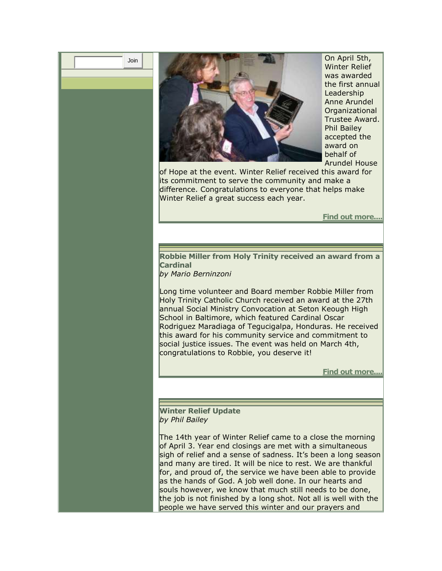| Join |  |
|------|--|
|------|--|



On April 5th, Winter Relief was awarded the first annual Leadership Anne Arundel Organizational Trustee Award. Phil Bailey accepted the award on behalf of Arundel House

of Hope at the event. Winter Relief received this award for its commitment to serve the community and make a difference. Congratulations to everyone that helps make Winter Relief a great success each year.

**[Find out more....](http://r20.rs6.net/tn.jsp?llr=ephtatbab&et=1101268009405&s=0&e=001ecY07Xqg0Xwge4n94IQxCnMjUhP-IIMgLZ-1cij-i-inwFtKfnolZrZA3e0-XtSP96zJZM5w-6tjMV7GluWQuj8UGoBewlvqQeLODzsjhnnHH9yfieoC4aHOq4XYiE2fEBlo0mtjopsQ6Y56AET53D7HGK3U1AXG)**

**Robbie Miller from Holy Trinity received an award from a Cardinal** 

*by Mario Berninzoni* 

Long time volunteer and Board member Robbie Miller from Holy Trinity Catholic Church received an award at the 27th annual Social Ministry Convocation at Seton Keough High School in Baltimore, which featured Cardinal Oscar Rodriguez Maradiaga of Tegucigalpa, Honduras. He received this award for his community service and commitment to social justice issues. The event was held on March 4th, congratulations to Robbie, you deserve it!

**[Find out more....](http://r20.rs6.net/tn.jsp?llr=ephtatbab&et=1101268009405&s=0&e=001ecY07Xqg0Xwge4n94IQxCnMjUhP-IIMgLZ-1cij-i-inwFtKfnolZrZA3e0-XtSP96zJZM5w-6tjMV7GluWQuiwwhJoFZ5iY5pn07U2-WTJ3JUHP_ddrs01HfMtPp0DUJt-9ZfEufqufEBd0ktptE27xcnBP_Ych)**

**Winter Relief Update**  *by Phil Bailey* 

The 14th year of Winter Relief came to a close the morning of April 3. Year end closings are met with a simultaneous sigh of relief and a sense of sadness. It's been a long season and many are tired. It will be nice to rest. We are thankful for, and proud of, the service we have been able to provide as the hands of God. A job well done. In our hearts and souls however, we know that much still needs to be done, the job is not finished by a long shot. Not all is well with the people we have served this winter and our prayers and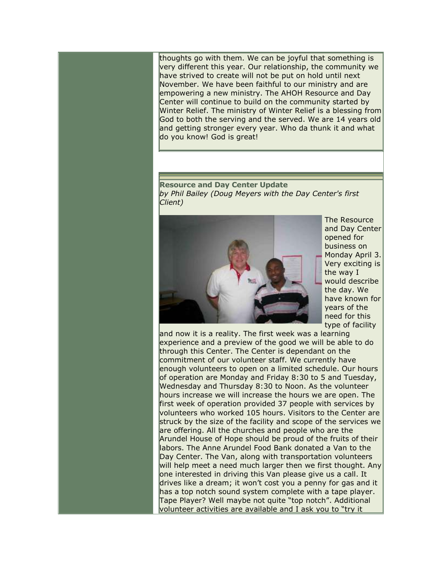thoughts go with them. We can be joyful that something is very different this year. Our relationship, the community we have strived to create will not be put on hold until next November. We have been faithful to our ministry and are empowering a new ministry. The AHOH Resource and Day Center will continue to build on the community started by Winter Relief. The ministry of Winter Relief is a blessing from God to both the serving and the served. We are 14 years old and getting stronger every year. Who da thunk it and what do you know! God is great!

**Resource and Day Center Update**  *by Phil Bailey (Doug Meyers with the Day Center's first Client)* 



The Resource and Day Center opened for business on Monday April 3. Very exciting is the way I would describe the day. We have known for years of the need for this type of facility

and now it is a reality. The first week was a learning experience and a preview of the good we will be able to do through this Center. The Center is dependant on the commitment of our volunteer staff. We currently have enough volunteers to open on a limited schedule. Our hours of operation are Monday and Friday 8:30 to 5 and Tuesday, Wednesday and Thursday 8:30 to Noon. As the volunteer hours increase we will increase the hours we are open. The first week of operation provided 37 people with services by volunteers who worked 105 hours. Visitors to the Center are struck by the size of the facility and scope of the services we are offering. All the churches and people who are the Arundel House of Hope should be proud of the fruits of their labors. The Anne Arundel Food Bank donated a Van to the Day Center. The Van, along with transportation volunteers will help meet a need much larger then we first thought. Any one interested in driving this Van please give us a call. It drives like a dream; it won't cost you a penny for gas and it has a top notch sound system complete with a tape player. Tape Player? Well maybe not quite "top notch". Additional volunteer activities are available and I ask you to "try it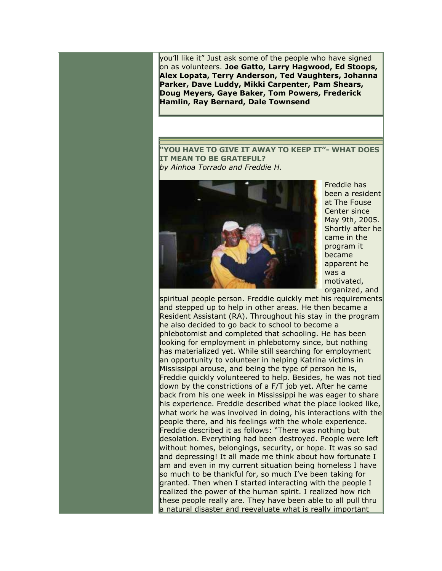you'll like it" Just ask some of the people who have signed on as volunteers. **Joe Gatto, Larry Hagwood, Ed Stoops, Alex Lopata, Terry Anderson, Ted Vaughters, Johanna Parker, Dave Luddy, Mikki Carpenter, Pam Shears, Doug Meyers, Gaye Baker, Tom Powers, Frederick Hamlin, Ray Bernard, Dale Townsend**

**"YOU HAVE TO GIVE IT AWAY TO KEEP IT"- WHAT DOES IT MEAN TO BE GRATEFUL?**  *by Ainhoa Torrado and Freddie H.* 



Freddie has been a resident at The Fouse Center since May 9th, 2005. Shortly after he came in the program it became apparent he was a motivated, organized, and

spiritual people person. Freddie quickly met his requirements and stepped up to help in other areas. He then became a Resident Assistant (RA). Throughout his stay in the program he also decided to go back to school to become a phlebotomist and completed that schooling. He has been looking for employment in phlebotomy since, but nothing has materialized yet. While still searching for employment an opportunity to volunteer in helping Katrina victims in Mississippi arouse, and being the type of person he is, Freddie quickly volunteered to help. Besides, he was not tied down by the constrictions of a F/T job yet. After he came back from his one week in Mississippi he was eager to share his experience. Freddie described what the place looked like, what work he was involved in doing, his interactions with the people there, and his feelings with the whole experience. Freddie described it as follows: "There was nothing but desolation. Everything had been destroyed. People were left without homes, belongings, security, or hope. It was so sad and depressing! It all made me think about how fortunate I am and even in my current situation being homeless I have so much to be thankful for, so much I've been taking for granted. Then when I started interacting with the people I realized the power of the human spirit. I realized how rich these people really are. They have been able to all pull thru a natural disaster and reevaluate what is really important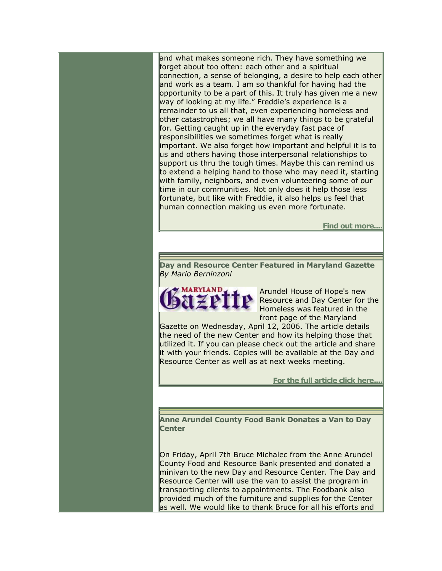and what makes someone rich. They have something we forget about too often: each other and a spiritual connection, a sense of belonging, a desire to help each other and work as a team. I am so thankful for having had the opportunity to be a part of this. It truly has given me a new way of looking at my life." Freddie's experience is a remainder to us all that, even experiencing homeless and other catastrophes; we all have many things to be grateful for. Getting caught up in the everyday fast pace of responsibilities we sometimes forget what is really important. We also forget how important and helpful it is to us and others having those interpersonal relationships to support us thru the tough times. Maybe this can remind us to extend a helping hand to those who may need it, starting with family, neighbors, and even volunteering some of our time in our communities. Not only does it help those less fortunate, but like with Freddie, it also helps us feel that human connection making us even more fortunate.

**[Find out more....](http://r20.rs6.net/tn.jsp?llr=ephtatbab&et=1101268009405&s=0&e=001ecY07Xqg0Xwge4n94IQxCnMjUhP-IIMgLZ-1cij-i-inwFtKfnolZrZA3e0-XtSP96zJZM5w-6tjMV7GluWQuu-p6Iey9CHvs6EQ5wqXuRl-WfDDqtfrvQ==)**

**Day and Resource Center Featured in Maryland Gazette**  *By Mario Berninzoni* 



Arundel House of Hope's new Resource and Day Center for the Homeless was featured in the front page of the Maryland

Gazette on Wednesday, April 12, 2006. The article details the need of the new Center and how its helping those that utilized it. If you can please check out the article and share it with your friends. Copies will be available at the Day and Resource Center as well as at next weeks meeting.

**[For the full article click here....](http://r20.rs6.net/tn.jsp?llr=ephtatbab&et=1101268009405&s=0&e=001ecY07Xqg0Xwge4n94IQxCnMjUhP-IIMgLZ-1cij-i-inwFtKfnolZrZA3e0-XtSP96zJZM5w-6tjMV7GluWQukvIp_La26FPSQLoUvK971FQ10Y3bvrnIBMSXcVBVqiOQ29QsELx9y3IDmt1NdedbGnj8bKXsyL74PIX8SN-NgKSWkg9ArZQ0SL0EDK7QOH-tMxYGqscQf0=)**

**Anne Arundel County Food Bank Donates a Van to Day Center** 

On Friday, April 7th Bruce Michalec from the Anne Arundel County Food and Resource Bank presented and donated a minivan to the new Day and Resource Center. The Day and Resource Center will use the van to assist the program in transporting clients to appointments. The Foodbank also provided much of the furniture and supplies for the Center as well. We would like to thank Bruce for all his efforts and